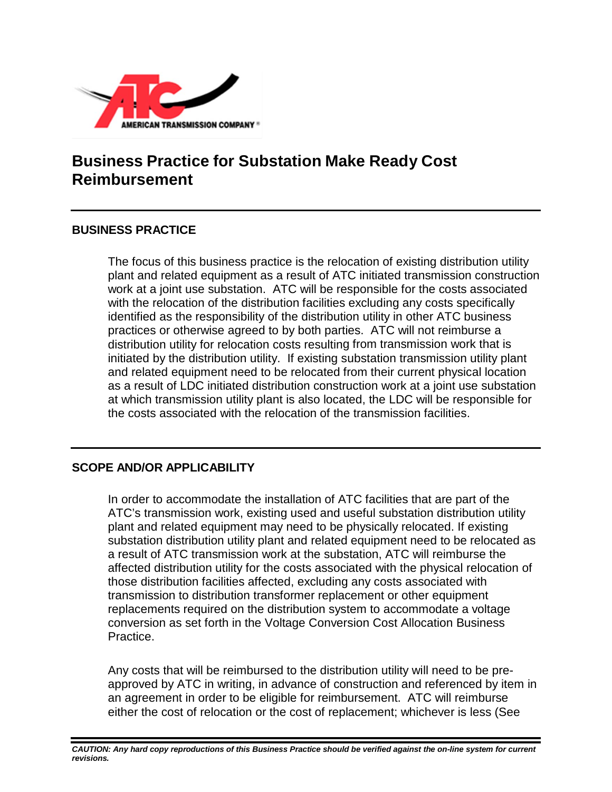

# **Business Practice for Substation Make Ready Cost Reimbursement**

#### **BUSINESS PRACTICE**

The focus of this business practice is the relocation of existing distribution utility plant and related equipment as a result of ATC initiated transmission construction work at a joint use substation. ATC will be responsible for the costs associated with the relocation of the distribution facilities excluding any costs specifically identified as the responsibility of the distribution utility in other ATC business practices or otherwise agreed to by both parties. ATC will not reimburse a distribution utility for relocation costs resulting from transmission work that is initiated by the distribution utility. If existing substation transmission utility plant and related equipment need to be relocated from their current physical location as a result of LDC initiated distribution construction work at a joint use substation at which transmission utility plant is also located, the LDC will be responsible for the costs associated with the relocation of the transmission facilities.

### **SCOPE AND/OR APPLICABILITY**

In order to accommodate the installation of ATC facilities that are part of the ATC's transmission work, existing used and useful substation distribution utility plant and related equipment may need to be physically relocated. If existing substation distribution utility plant and related equipment need to be relocated as a result of ATC transmission work at the substation, ATC will reimburse the affected distribution utility for the costs associated with the physical relocation of those distribution facilities affected, excluding any costs associated with transmission to distribution transformer replacement or other equipment replacements required on the distribution system to accommodate a voltage conversion as set forth in the Voltage Conversion Cost Allocation Business Practice.

Any costs that will be reimbursed to the distribution utility will need to be preapproved by ATC in writing, in advance of construction and referenced by item in an agreement in order to be eligible for reimbursement. ATC will reimburse either the cost of relocation or the cost of replacement; whichever is less (See

*CAUTION: Any hard copy reproductions of this Business Practice should be verified against the on-line system for current revisions.*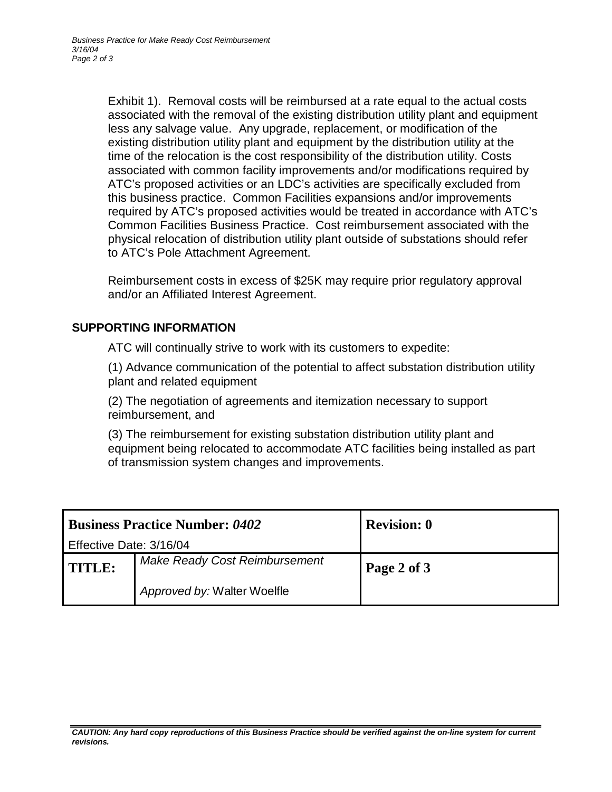Exhibit 1). Removal costs will be reimbursed at a rate equal to the actual costs associated with the removal of the existing distribution utility plant and equipment less any salvage value. Any upgrade, replacement, or modification of the existing distribution utility plant and equipment by the distribution utility at the time of the relocation is the cost responsibility of the distribution utility. Costs associated with common facility improvements and/or modifications required by ATC's proposed activities or an LDC's activities are specifically excluded from this business practice. Common Facilities expansions and/or improvements required by ATC's proposed activities would be treated in accordance with ATC's Common Facilities Business Practice. Cost reimbursement associated with the physical relocation of distribution utility plant outside of substations should refer to ATC's Pole Attachment Agreement.

Reimbursement costs in excess of \$25K may require prior regulatory approval and/or an Affiliated Interest Agreement.

#### **SUPPORTING INFORMATION**

ATC will continually strive to work with its customers to expedite:

(1) Advance communication of the potential to affect substation distribution utility plant and related equipment

(2) The negotiation of agreements and itemization necessary to support reimbursement, and

(3) The reimbursement for existing substation distribution utility plant and equipment being relocated to accommodate ATC facilities being installed as part of transmission system changes and improvements.

| <b>Business Practice Number: 0402</b> |                                      | <b>Revision: 0</b> |
|---------------------------------------|--------------------------------------|--------------------|
| Effective Date: 3/16/04               |                                      |                    |
| <b>TITLE:</b>                         | <b>Make Ready Cost Reimbursement</b> | Page 2 of 3        |
|                                       | Approved by: Walter Woelfle          |                    |

#### CAUTION: Any hard copy reproductions of this Business Practice should be verified against the on-line system for current *revisions.*